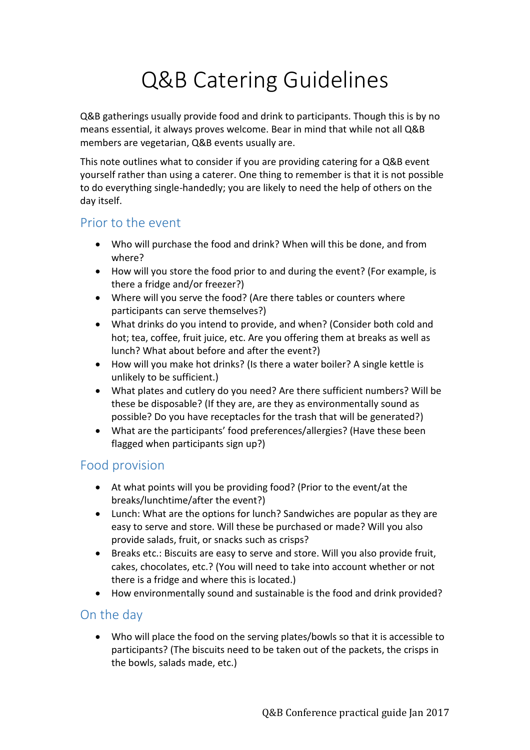## Q&B Catering Guidelines

Q&B gatherings usually provide food and drink to participants. Though this is by no means essential, it always proves welcome. Bear in mind that while not all Q&B members are vegetarian, Q&B events usually are.

This note outlines what to consider if you are providing catering for a Q&B event yourself rather than using a caterer. One thing to remember is that it is not possible to do everything single-handedly; you are likely to need the help of others on the day itself.

## Prior to the event

- Who will purchase the food and drink? When will this be done, and from where?
- How will you store the food prior to and during the event? (For example, is there a fridge and/or freezer?)
- Where will you serve the food? (Are there tables or counters where participants can serve themselves?)
- What drinks do you intend to provide, and when? (Consider both cold and hot; tea, coffee, fruit juice, etc. Are you offering them at breaks as well as lunch? What about before and after the event?)
- How will you make hot drinks? (Is there a water boiler? A single kettle is unlikely to be sufficient.)
- What plates and cutlery do you need? Are there sufficient numbers? Will be these be disposable? (If they are, are they as environmentally sound as possible? Do you have receptacles for the trash that will be generated?)
- What are the participants' food preferences/allergies? (Have these been flagged when participants sign up?)

## Food provision

- At what points will you be providing food? (Prior to the event/at the breaks/lunchtime/after the event?)
- Lunch: What are the options for lunch? Sandwiches are popular as they are easy to serve and store. Will these be purchased or made? Will you also provide salads, fruit, or snacks such as crisps?
- Breaks etc.: Biscuits are easy to serve and store. Will you also provide fruit, cakes, chocolates, etc.? (You will need to take into account whether or not there is a fridge and where this is located.)
- How environmentally sound and sustainable is the food and drink provided?

## On the day

 Who will place the food on the serving plates/bowls so that it is accessible to participants? (The biscuits need to be taken out of the packets, the crisps in the bowls, salads made, etc.)